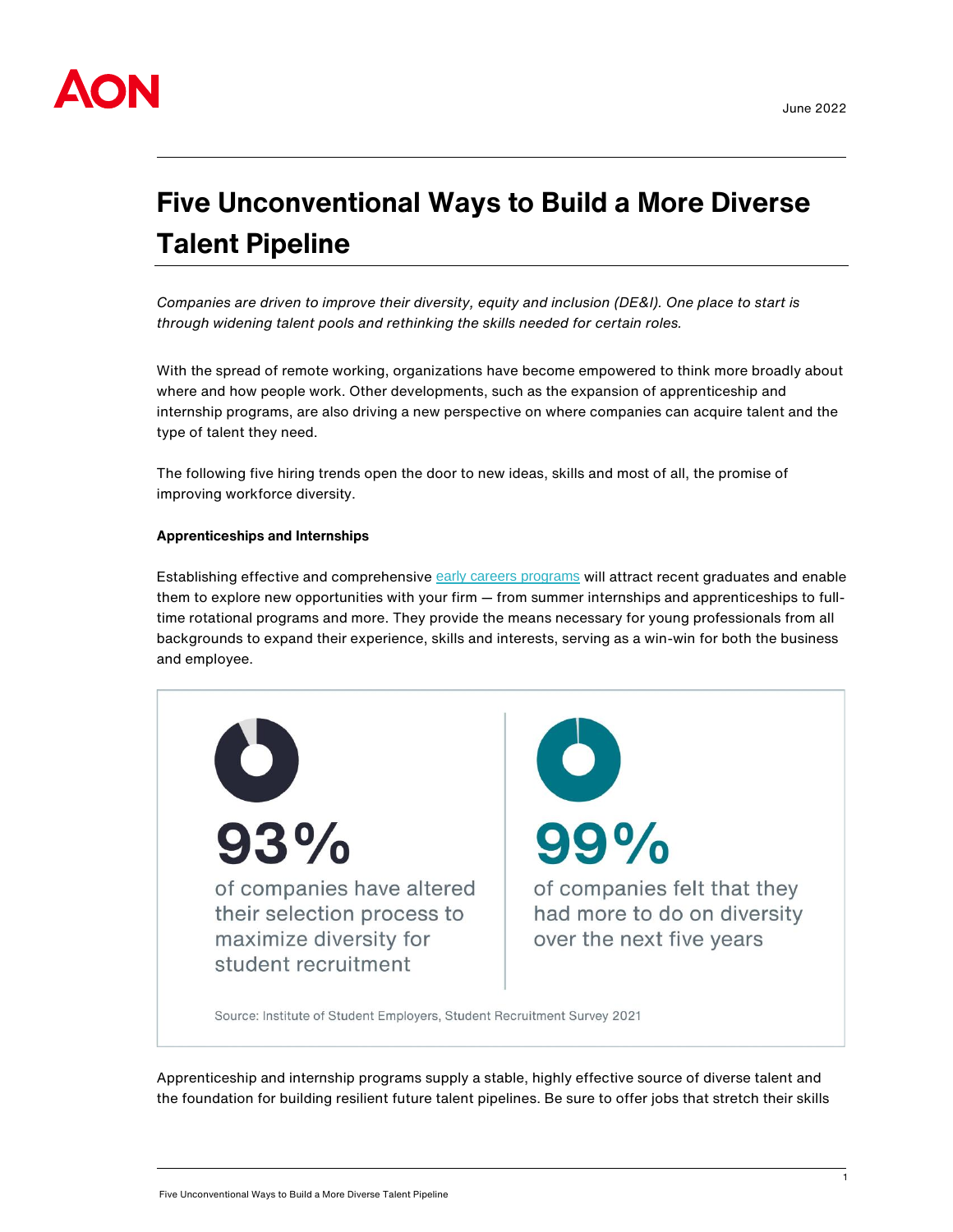

# **Five Unconventional Ways to Build a More Diverse Talent Pipeline**

*Companies are driven to improve their diversity, equity and inclusion (DE&I). One place to start is through widening talent pools and rethinking the skills needed for certain roles.*

With the spread of remote working, organizations have become empowered to think more broadly about where and how people work. Other developments, such as the expansion of apprenticeship and internship programs, are also driving a new perspective on where companies can acquire talent and the type of talent they need.

The following five hiring trends open the door to new ideas, skills and most of all, the promise of improving workforce diversity.

# **Apprenticeships and Internships**

Establishing effective and comprehensive [early careers programs](https://humancapital.aon.com/insights/articles/2022/why-now-is-the-time-for-an-early-careers-de-i-audit) will attract recent graduates and enable them to explore new opportunities with your firm — from summer internships and apprenticeships to fulltime rotational programs and more. They provide the means necessary for young professionals from all backgrounds to expand their experience, skills and interests, serving as a win-win for both the business and employee.



Apprenticeship and internship programs supply a stable, highly effective source of diverse talent and the foundation for building resilient future talent pipelines. Be sure to offer jobs that stretch their skills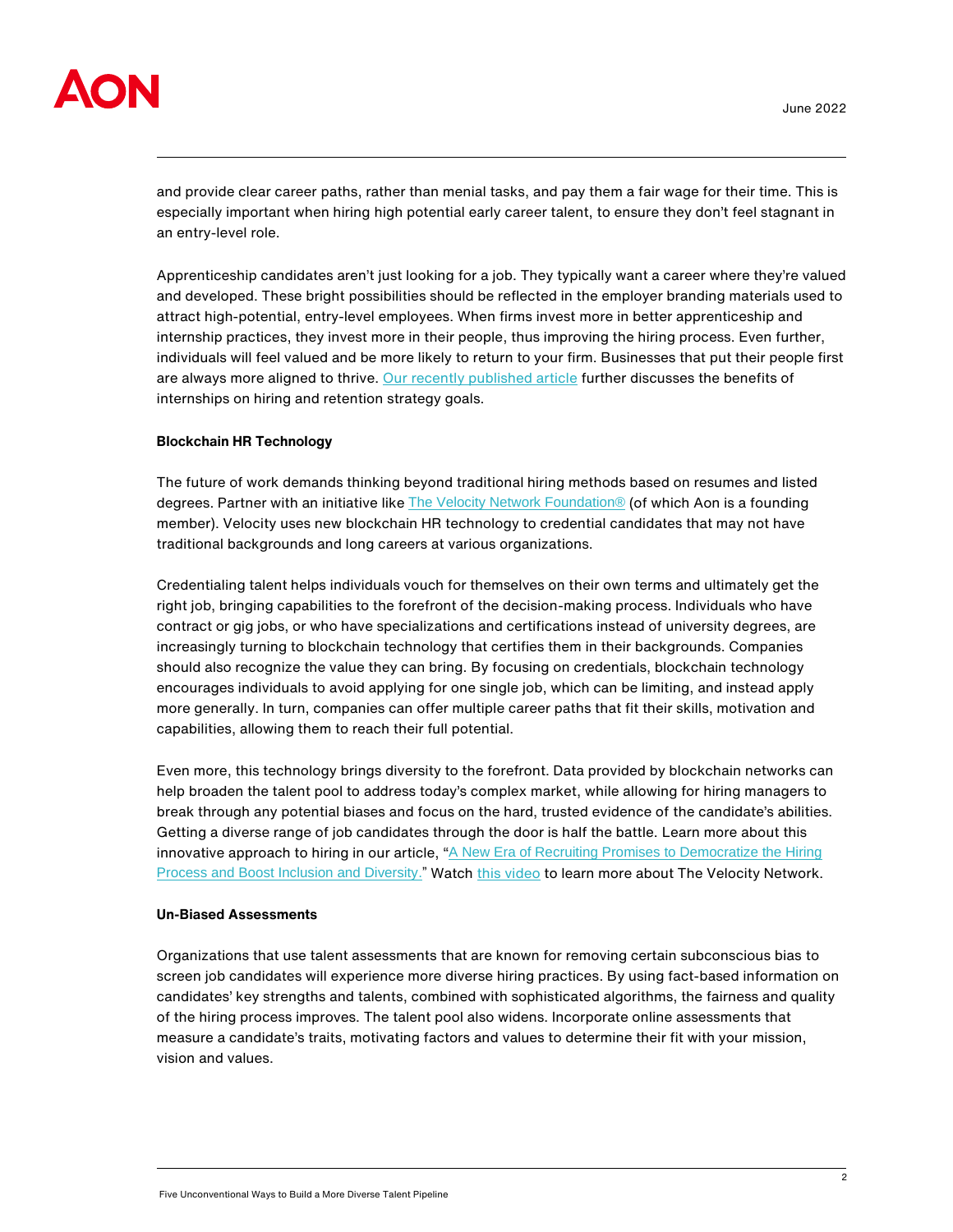

and provide clear career paths, rather than menial tasks, and pay them a fair wage for their time. This is especially important when hiring high potential early career talent, to ensure they don't feel stagnant in an entry-level role.

Apprenticeship candidates aren't just looking for a job. They typically want a career where they're valued and developed. These bright possibilities should be reflected in the employer branding materials used to attract high-potential, entry-level employees. When firms invest more in better apprenticeship and internship practices, they invest more in their people, thus improving the hiring process. Even further, individuals will feel valued and be more likely to return to your firm. Businesses that put their people first are always more aligned to thrive. [Our recently published article](https://humancapital.aon.com/insights/articles/2022/three-ways-to-boost-your-talent-pipeline-using-internships-in-ireland) further discusses the benefits of internships on hiring and retention strategy goals.

# **Blockchain HR Technology**

The future of work demands thinking beyond traditional hiring methods based on resumes and listed degrees. Partner with an initiative like [The Velocity Network Foundation®](https://www.velocitynetwork.foundation/) (of which Aon is a founding member). Velocity uses new blockchain HR technology to credential candidates that may not have traditional backgrounds and long careers at various organizations.

Credentialing talent helps individuals vouch for themselves on their own terms and ultimately get the right job, bringing capabilities to the forefront of the decision-making process. Individuals who have contract or gig jobs, or who have specializations and certifications instead of university degrees, are increasingly turning to blockchain technology that certifies them in their backgrounds. Companies should also recognize the value they can bring. By focusing on credentials, blockchain technology encourages individuals to avoid applying for one single job, which can be limiting, and instead apply more generally. In turn, companies can offer multiple career paths that fit their skills, motivation and capabilities, allowing them to reach their full potential.

Even more, this technology brings diversity to the forefront. Data provided by blockchain networks can help broaden the talent pool to address today's complex market, while allowing for hiring managers to break through any potential biases and focus on the hard, trusted evidence of the candidate's abilities. Getting a diverse range of job candidates through the door is half the battle. Learn more about this innovative approach to hiring in our article, "A New Era of Recruiting Promises to Democratize the Hiring [Process and Boost Inclusion and Diversity.](https://humancapital.aon.com/insights/articles/2022/a-new-era-of-recruiting-promises-to-democratize-the-hiring-process-and-boost-inclusion-and-diversity)" Watc[h this video](https://www.youtube.com/watch?app=desktop&v=A9e7Ow8pzBc&feature=youtu.be) to learn more about The Velocity Network.

### **Un-Biased Assessments**

Organizations that use talent assessments that are known for removing certain subconscious bias to screen job candidates will experience more diverse hiring practices. By using fact-based information on candidates' key strengths and talents, combined with sophisticated algorithms, the fairness and quality of the hiring process improves. The talent pool also widens. Incorporate online assessments that measure a candidate's traits, motivating factors and values to determine their fit with your mission, vision and values.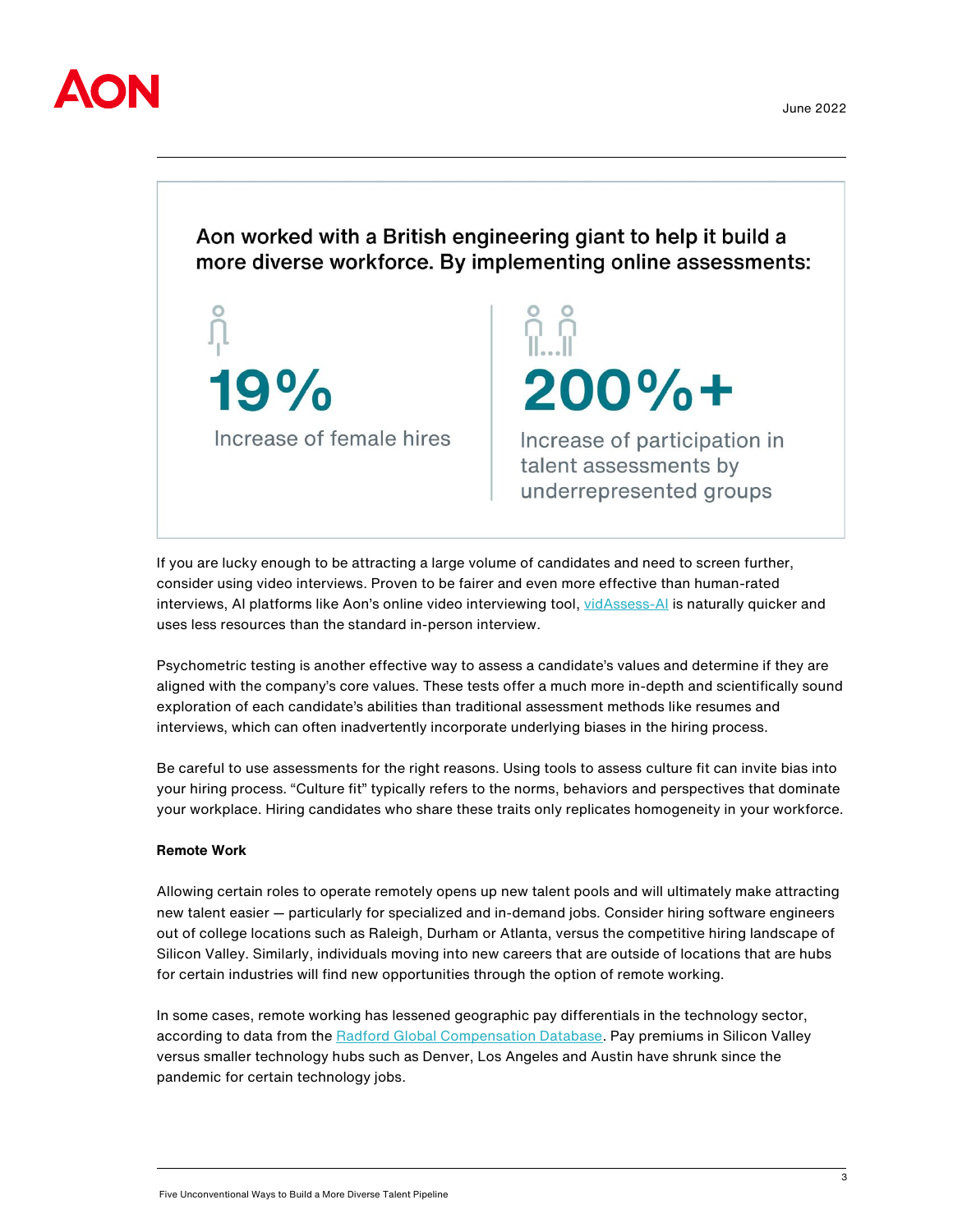

Aon worked with a British engineering giant to help it build a more diverse workforce. By implementing online assessments:

 $200% +$ 19% Increase of female hires Increase of participation in talent assessments by underrepresented groups

If you are lucky enough to be attracting a large volume of candidates and need to screen further, consider using video interviews. Proven to be fairer and even more effective than human-rated interviews, AI platforms like Aon's online video interviewing tool, [vidAssess-AI](https://insights.humancapital.aon.com/video-interview-video-assessment/vidassess-ai-next-generation-ai-video-interviewing-technology) is naturally quicker and uses less resources than the standard in-person interview.

Psychometric testing is another effective way to assess a candidate's values and determine if they are aligned with the company's core values. These tests offer a much more in-depth and scientifically sound exploration of each candidate's abilities than traditional assessment methods like resumes and interviews, which can often inadvertently incorporate underlying biases in the hiring process.

Be careful to use assessments for the right reasons. Using tools to assess culture fit can invite bias into your hiring process. "Culture fit" typically refers to the norms, behaviors and perspectives that dominate your workplace. Hiring candidates who share these traits only replicates homogeneity in your workforce.

# **Remote Work**

Allowing certain roles to operate remotely opens up new talent pools and will ultimately make attracting new talent easier — particularly for specialized and in-demand jobs. Consider hiring software engineers out of college locations such as Raleigh, Durham or Atlanta, versus the competitive hiring landscape of Silicon Valley. Similarly, individuals moving into new careers that are outside of locations that are hubs for certain industries will find new opportunities through the option of remote working.

In some cases, remote working has lessened geographic pay differentials in the technology sector, according to data from the [Radford Global Compensation Database.](https://radford.aon.com/products/surveys/technology-compensation-survey) Pay premiums in Silicon Valley versus smaller technology hubs such as Denver, Los Angeles and Austin have shrunk since the pandemic for certain technology jobs.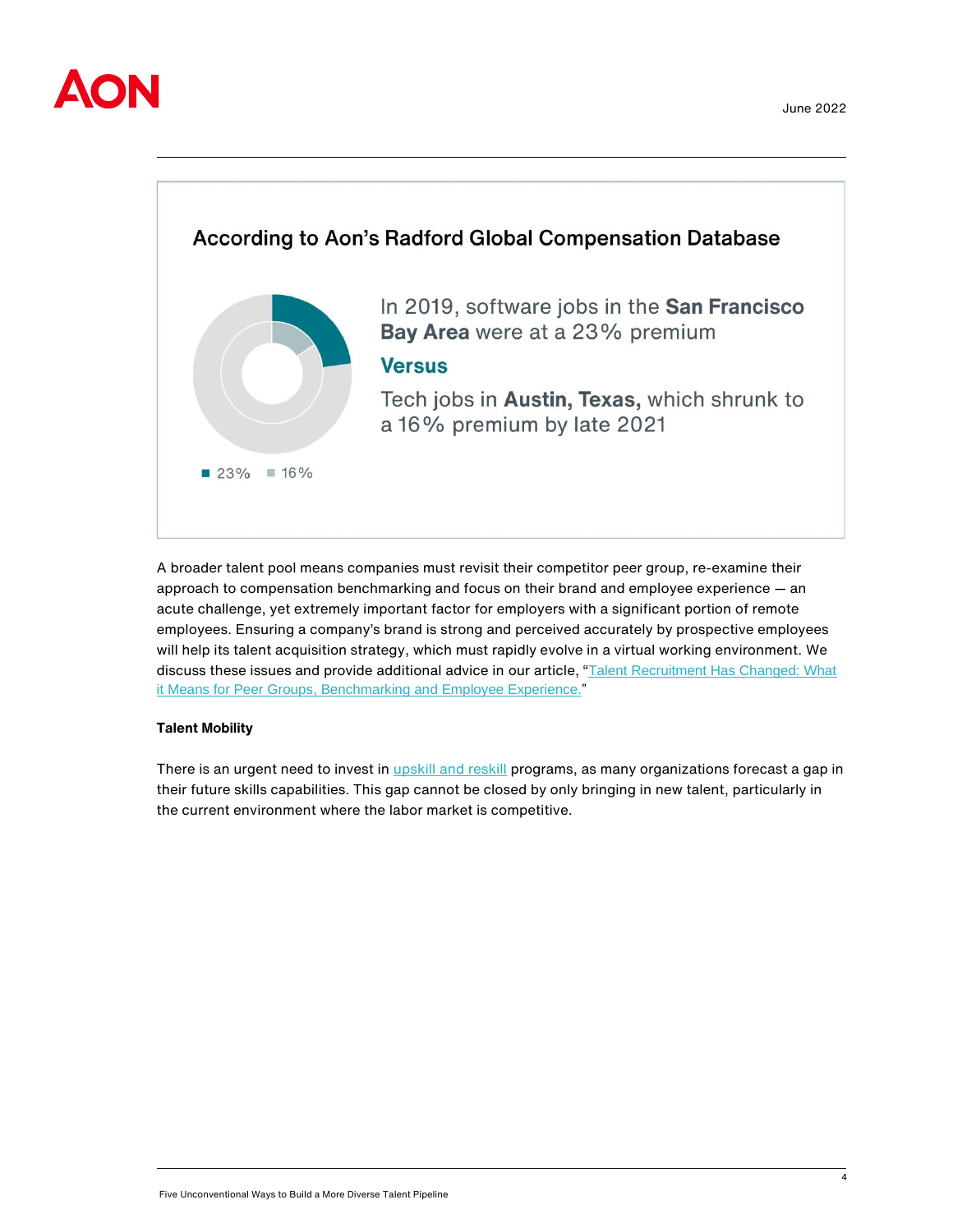



A broader talent pool means companies must revisit their competitor peer group, re-examine their approach to compensation benchmarking and focus on their brand and employee experience — an acute challenge, yet extremely important factor for employers with a significant portion of remote employees. Ensuring a company's brand is strong and perceived accurately by prospective employees will help its talent acquisition strategy, which must rapidly evolve in a virtual working environment. We discuss these issues and provide additional advice in our article, "[Talent Recruitment Has Changed: What](https://humancapital.aon.com/insights/articles/2021/talent-recruitment-has-changed-what-it-means-for-peer-groups,-benchmarking-and-employee-experience)  [it Means for Peer Groups, Benchmarking and Employee Experience."](https://humancapital.aon.com/insights/articles/2021/talent-recruitment-has-changed-what-it-means-for-peer-groups,-benchmarking-and-employee-experience)

# **Talent Mobility**

There is an urgent need to invest in *upskill and reskill* programs, as many organizations forecast a gap in their future skills capabilities. This gap cannot be closed by only bringing in new talent, particularly in the current environment where the labor market is competitive.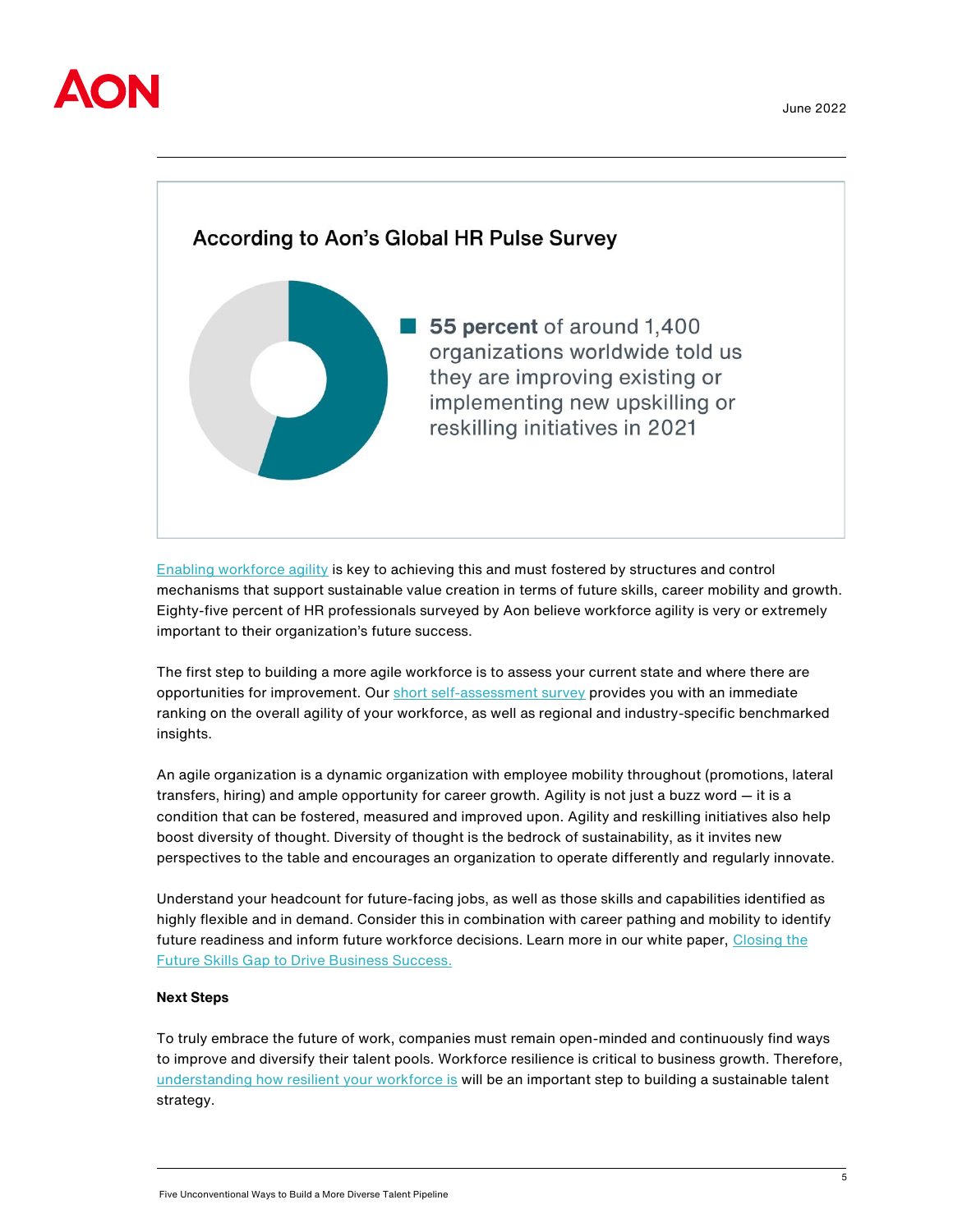



[Enabling workforce agility](https://humancapital.aon.com/insights/articles/2022/to-build-workforce-agility-look-at-these-six-factors) is key to achieving this and must fostered by structures and control mechanisms that support sustainable value creation in terms of future skills, career mobility and growth. Eighty-five percent of HR professionals surveyed by Aon believe workforce agility is very or extremely important to their organization's future success.

The first step to building a more agile workforce is to assess your current state and where there are opportunities for improvement. Ou[r short self-assessment survey](https://www.aon.com/workforce-agility-and-resilience) provides you with an immediate ranking on the overall agility of your workforce, as well as regional and industry-specific benchmarked insights.

An agile organization is a dynamic organization with employee mobility throughout (promotions, lateral transfers, hiring) and ample opportunity for career growth. Agility is not just a buzz word — it is a condition that can be fostered, measured and improved upon. Agility and reskilling initiatives also help boost diversity of thought. Diversity of thought is the bedrock of sustainability, as it invites new perspectives to the table and encourages an organization to operate differently and regularly innovate.

Understand your headcount for future-facing jobs, as well as those skills and capabilities identified as highly flexible and in demand. Consider this in combination with career pathing and mobility to identify future readiness and inform future workforce decisions. Learn more in our white paper, Closing the [Future Skills Gap to Drive Business Success.](https://humancapital.aon.com/insights/reports/trending-topics/future-skills)

# **Next Steps**

To truly embrace the future of work, companies must remain open-minded and continuously find ways to improve and diversify their talent pools. Workforce resilience is critical to business growth. Therefore, [understanding how resilient your workforce is](https://www.aon.com/risingresilient/self-assessment-tool/) will be an important step to building a sustainable talent strategy.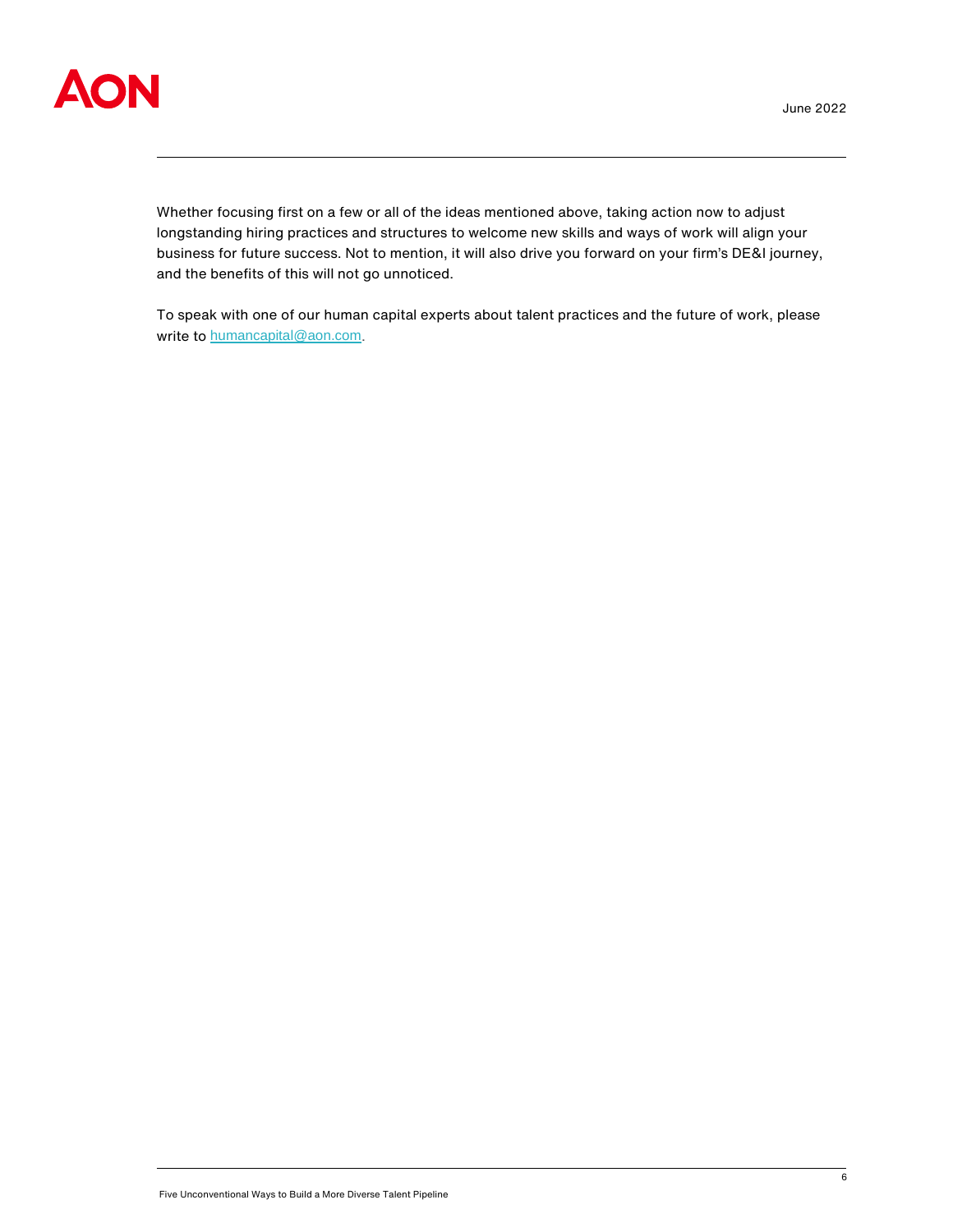

Whether focusing first on a few or all of the ideas mentioned above, taking action now to adjust longstanding hiring practices and structures to welcome new skills and ways of work will align your business for future success. Not to mention, it will also drive you forward on your firm's DE&I journey, and the benefits of this will not go unnoticed.

To speak with one of our human capital experts about talent practices and the future of work, please write to [humancapital@aon.com](mailto:humancapital@aon.com).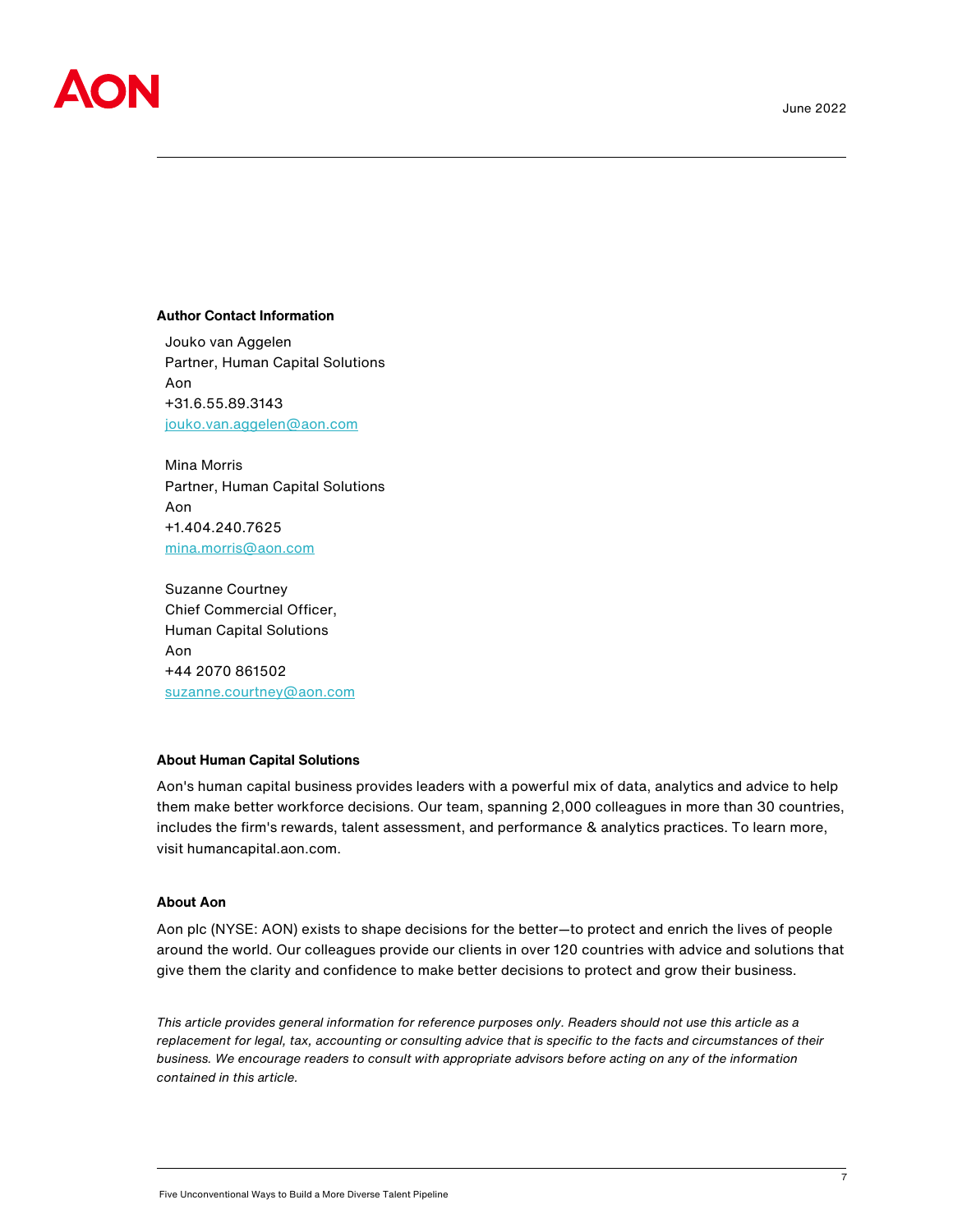

#### **Author Contact Information**

Jouko van Aggelen Partner, Human Capital Solutions Aon +31.6.55.89.3143 [jouko.van.aggelen@aon.com](mailto:jouko.van.aggelen@aon.com)

Mina Morris Partner, Human Capital Solutions Aon +1.404.240.7625 [mina.morris@aon.com](mailto:mina.morris@aon.com)

Suzanne Courtney Chief Commercial Officer, Human Capital Solutions Aon +44 2070 861502 [suzanne.courtney@aon.com](mailto:suzanne.courtney@aon.com)

# **About Human Capital Solutions**

Aon's human capital business provides leaders with a powerful mix of data, analytics and advice to help them make better workforce decisions. Our team, spanning 2,000 colleagues in more than 30 countries, includes the firm's rewards, talent assessment, and performance & analytics practices. To learn more, visit humancapital.aon.com.

#### **About Aon**

Aon plc (NYSE: AON) exists to shape decisions for the better—to protect and enrich the lives of people around the world. Our colleagues provide our clients in over 120 countries with advice and solutions that give them the clarity and confidence to make better decisions to protect and grow their business.

*This article provides general information for reference purposes only. Readers should not use this article as a replacement for legal, tax, accounting or consulting advice that is specific to the facts and circumstances of their business. We encourage readers to consult with appropriate advisors before acting on any of the information contained in this article.*